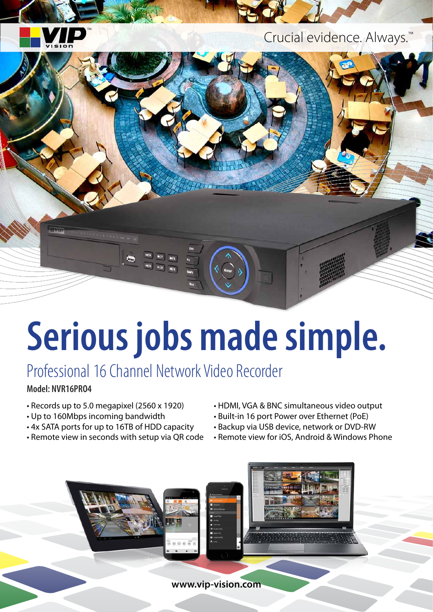

Crucial evidence. Always.™



# **Serious jobs made simple.**

## Professional 16 Channel Network Video Recorder

#### **Model: NVR16PRO4**

- Records up to 5.0 megapixel (2560 x 1920)
- Up to 160Mbps incoming bandwidth
- 4x SATA ports for up to 16TB of HDD capacity
- Remote view in seconds with setup via QR code
- HDMI, VGA & BNC simultaneous video output
- Built-in 16 port Power over Ethernet (PoE)
- Backup via USB device, network or DVD-RW
- Remote view for iOS, Android & Windows Phone